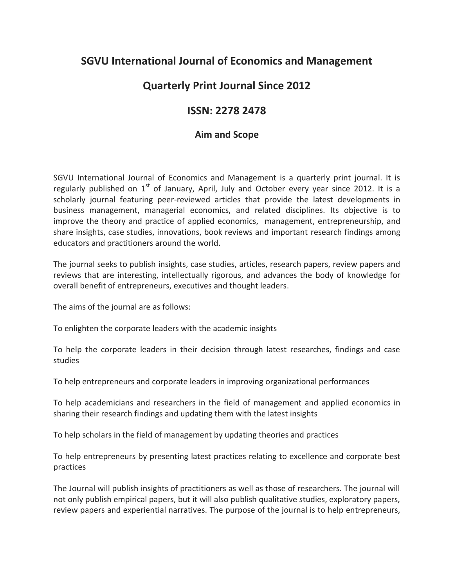## **SGVU International Journal of Economics and Management**

## **Quarterly Print Journal Since 2012**

## **ISSN: 2278 2478**

## **Aim and Scope**

SGVU International Journal of Economics and Management is a quarterly print journal. It is regularly published on  $1<sup>st</sup>$  of January, April, July and October every year since 2012. It is a scholarly journal featuring peer-reviewed articles that provide the latest developments in business management, managerial economics, and related disciplines. Its objective is to improve the theory and practice of applied economics, management, entrepreneurship, and share insights, case studies, innovations, book reviews and important research findings among educators and practitioners around the world.

The journal seeks to publish insights, case studies, articles, research papers, review papers and reviews that are interesting, intellectually rigorous, and advances the body of knowledge for overall benefit of entrepreneurs, executives and thought leaders.

The aims of the journal are as follows:

To enlighten the corporate leaders with the academic insights

To help the corporate leaders in their decision through latest researches, findings and case studies

To help entrepreneurs and corporate leaders in improving organizational performances

To help academicians and researchers in the field of management and applied economics in sharing their research findings and updating them with the latest insights

To help scholars in the field of management by updating theories and practices

To help entrepreneurs by presenting latest practices relating to excellence and corporate best practices

The Journal will publish insights of practitioners as well as those of researchers. The journal will not only publish empirical papers, but it will also publish qualitative studies, exploratory papers, review papers and experiential narratives. The purpose of the journal is to help entrepreneurs,